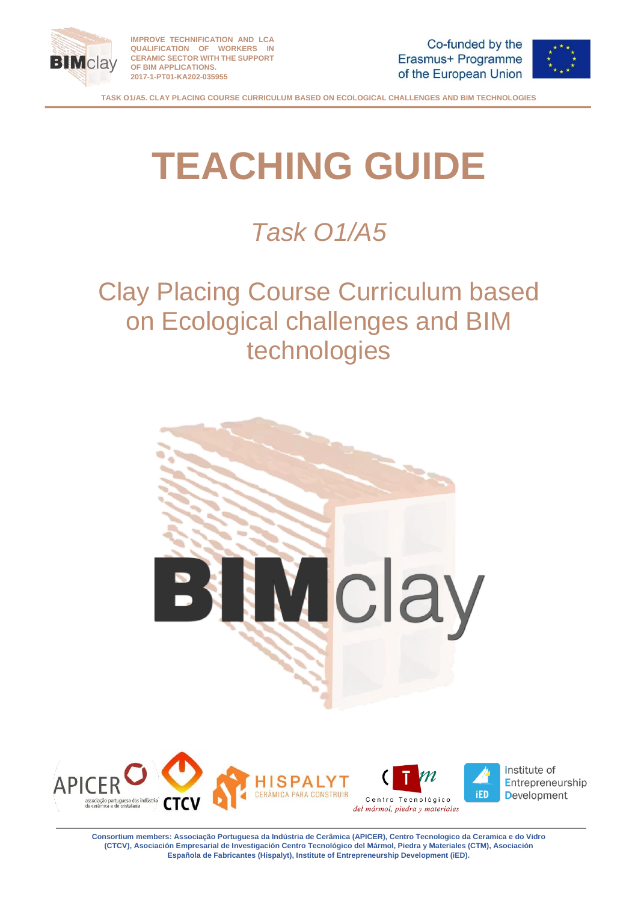



# **TEACHING GUIDE**

*Task O1/A5*

Clay Placing Course Curriculum based on Ecological challenges and BIM technologies





institute of Entrepreneurship **Development**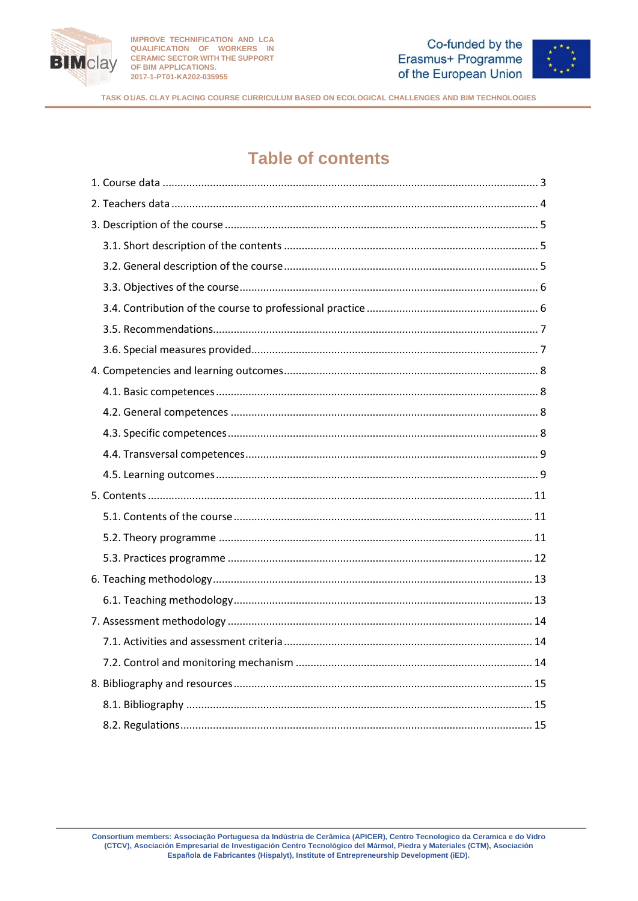



# **Table of contents**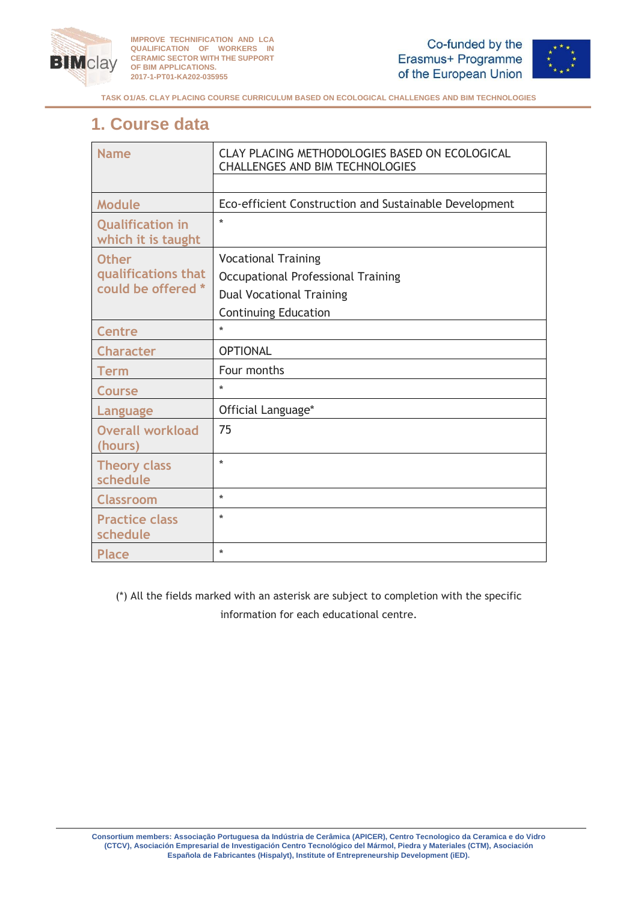



**TASK O1/A5. CLAY PLACING COURSE CURRICULUM BASED ON ECOLOGICAL CHALLENGES AND BIM TECHNOLOGIES**

# <span id="page-2-0"></span>**1. Course data**

| <b>Name</b>                                   | CLAY PLACING METHODOLOGIES BASED ON ECOLOGICAL<br><b>CHALLENGES AND BIM TECHNOLOGIES</b> |  |
|-----------------------------------------------|------------------------------------------------------------------------------------------|--|
|                                               |                                                                                          |  |
| <b>Module</b>                                 | Eco-efficient Construction and Sustainable Development                                   |  |
| <b>Qualification in</b><br>which it is taught | $\star$                                                                                  |  |
| <b>Other</b>                                  | <b>Vocational Training</b>                                                               |  |
| qualifications that                           | Occupational Professional Training                                                       |  |
| could be offered *                            | <b>Dual Vocational Training</b>                                                          |  |
|                                               | <b>Continuing Education</b>                                                              |  |
| <b>Centre</b>                                 | $\star$                                                                                  |  |
| <b>Character</b>                              | <b>OPTIONAL</b>                                                                          |  |
| Term                                          | Four months                                                                              |  |
| <b>Course</b>                                 | $\ast$                                                                                   |  |
| Language                                      | Official Language*                                                                       |  |
| <b>Overall workload</b><br>(hours)            | 75                                                                                       |  |
| <b>Theory class</b><br>schedule               | $\star$                                                                                  |  |
| <b>Classroom</b>                              | $\star$                                                                                  |  |
| <b>Practice class</b><br>schedule             | $\ast$                                                                                   |  |
| <b>Place</b>                                  | $\ast$                                                                                   |  |

(\*) All the fields marked with an asterisk are subject to completion with the specific information for each educational centre.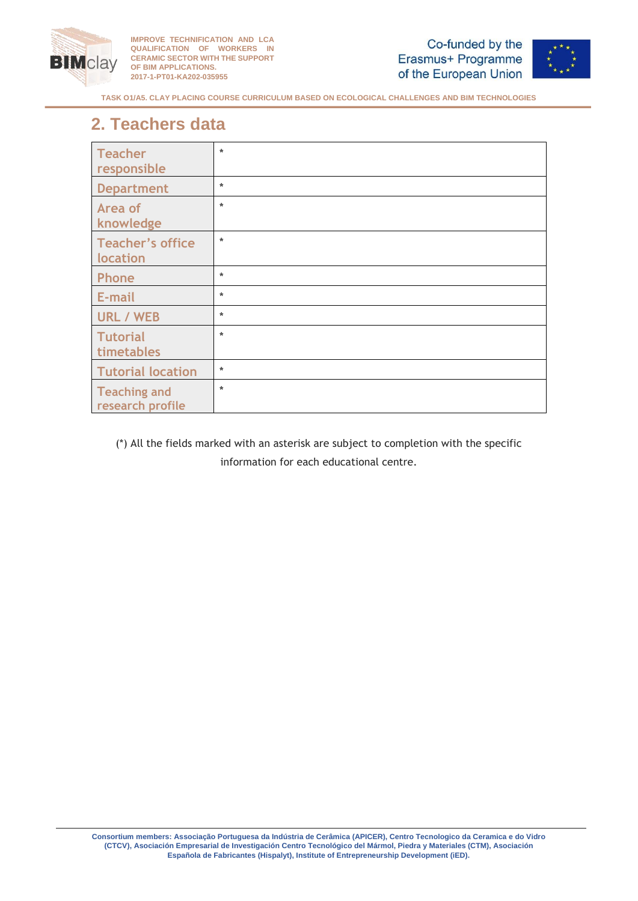





**TASK O1/A5. CLAY PLACING COURSE CURRICULUM BASED ON ECOLOGICAL CHALLENGES AND BIM TECHNOLOGIES**

# <span id="page-3-0"></span>**2. Teachers data**

| <b>Teacher</b><br>responsible           | *       |
|-----------------------------------------|---------|
| <b>Department</b>                       | *       |
| Area of<br>knowledge                    | $\star$ |
| Teacher's office<br>location            | $\ast$  |
| <b>Phone</b>                            | $\ast$  |
| E-mail                                  | $\ast$  |
| <b>URL / WEB</b>                        | *       |
| <b>Tutorial</b><br>timetables           | $\ast$  |
| <b>Tutorial location</b>                | $\ast$  |
| <b>Teaching and</b><br>research profile | $\ast$  |

(\*) All the fields marked with an asterisk are subject to completion with the specific information for each educational centre.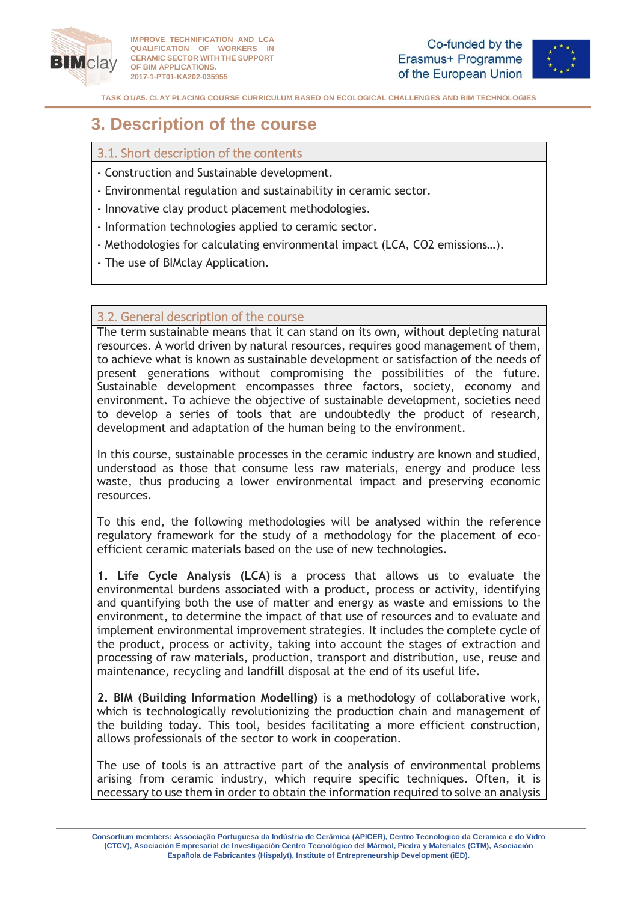



**TASK O1/A5. CLAY PLACING COURSE CURRICULUM BASED ON ECOLOGICAL CHALLENGES AND BIM TECHNOLOGIES**

# <span id="page-4-0"></span>**3. Description of the course**

# <span id="page-4-1"></span>3.1. Short description of the contents

- Construction and Sustainable development.
- Environmental regulation and sustainability in ceramic sector.
- Innovative clay product placement methodologies.
- Information technologies applied to ceramic sector.
- Methodologies for calculating environmental impact (LCA, CO2 emissions…).
- The use of BIMclay Application.

## <span id="page-4-2"></span>3.2. General description of the course

The term sustainable means that it can stand on its own, without depleting natural resources. A world driven by natural resources, requires good management of them, to achieve what is known as sustainable development or satisfaction of the needs of present generations without compromising the possibilities of the future. Sustainable development encompasses three factors, society, economy and environment. To achieve the objective of sustainable development, societies need to develop a series of tools that are undoubtedly the product of research, development and adaptation of the human being to the environment.

In this course, sustainable processes in the ceramic industry are known and studied, understood as those that consume less raw materials, energy and produce less waste, thus producing a lower environmental impact and preserving economic resources.

To this end, the following methodologies will be analysed within the reference regulatory framework for the study of a methodology for the placement of ecoefficient ceramic materials based on the use of new technologies.

**1. Life Cycle Analysis (LCA)** is a process that allows us to evaluate the environmental burdens associated with a product, process or activity, identifying and quantifying both the use of matter and energy as waste and emissions to the environment, to determine the impact of that use of resources and to evaluate and implement environmental improvement strategies. It includes the complete cycle of the product, process or activity, taking into account the stages of extraction and processing of raw materials, production, transport and distribution, use, reuse and maintenance, recycling and landfill disposal at the end of its useful life.

**2. BIM (Building Information Modelling)** is a methodology of collaborative work, which is technologically revolutionizing the production chain and management of the building today. This tool, besides facilitating a more efficient construction, allows professionals of the sector to work in cooperation.

The use of tools is an attractive part of the analysis of environmental problems arising from ceramic industry, which require specific techniques. Often, it is necessary to use them in order to obtain the information required to solve an analysis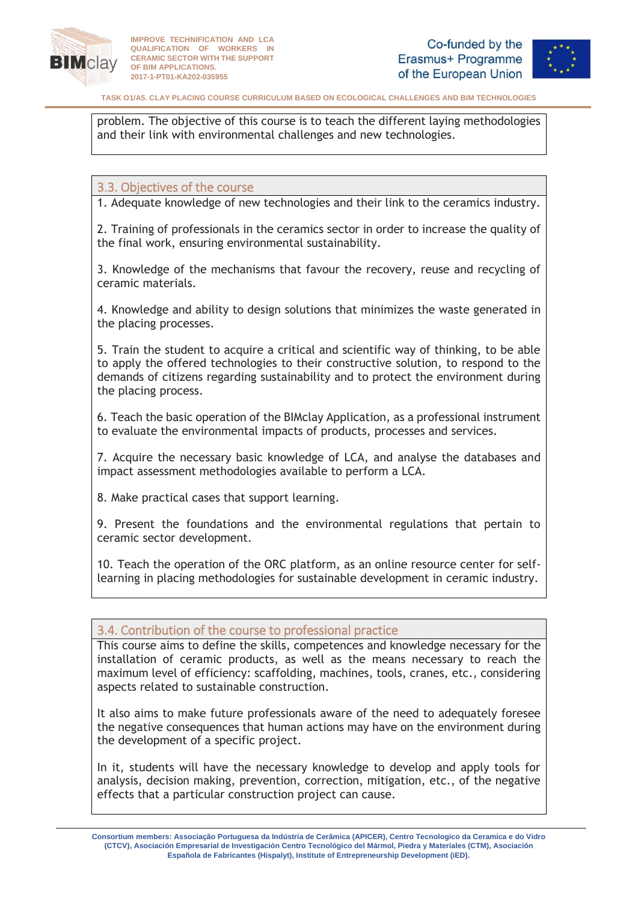



problem. The objective of this course is to teach the different laying methodologies and their link with environmental challenges and new technologies.

## <span id="page-5-0"></span>3.3. Objectives of the course

1. Adequate knowledge of new technologies and their link to the ceramics industry.

2. Training of professionals in the ceramics sector in order to increase the quality of the final work, ensuring environmental sustainability.

3. Knowledge of the mechanisms that favour the recovery, reuse and recycling of ceramic materials.

4. Knowledge and ability to design solutions that minimizes the waste generated in the placing processes.

5. Train the student to acquire a critical and scientific way of thinking, to be able to apply the offered technologies to their constructive solution, to respond to the demands of citizens regarding sustainability and to protect the environment during the placing process.

6. Teach the basic operation of the BIMclay Application, as a professional instrument to evaluate the environmental impacts of products, processes and services.

7. Acquire the necessary basic knowledge of LCA, and analyse the databases and impact assessment methodologies available to perform a LCA.

8. Make practical cases that support learning.

9. Present the foundations and the environmental regulations that pertain to ceramic sector development.

10. Teach the operation of the ORC platform, as an online resource center for selflearning in placing methodologies for sustainable development in ceramic industry.

## <span id="page-5-1"></span>3.4. Contribution of the course to professional practice

This course aims to define the skills, competences and knowledge necessary for the installation of ceramic products, as well as the means necessary to reach the maximum level of efficiency: scaffolding, machines, tools, cranes, etc., considering aspects related to sustainable construction.

It also aims to make future professionals aware of the need to adequately foresee the negative consequences that human actions may have on the environment during the development of a specific project.

In it, students will have the necessary knowledge to develop and apply tools for analysis, decision making, prevention, correction, mitigation, etc., of the negative effects that a particular construction project can cause.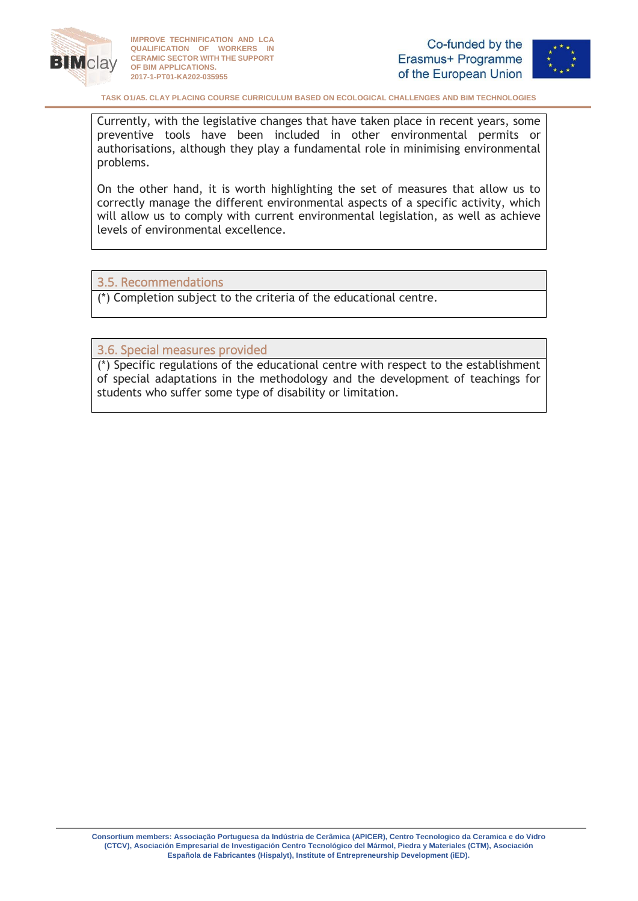



**TASK O1/A5. CLAY PLACING COURSE CURRICULUM BASED ON ECOLOGICAL CHALLENGES AND BIM TECHNOLOGIES**

Currently, with the legislative changes that have taken place in recent years, some preventive tools have been included in other environmental permits or authorisations, although they play a fundamental role in minimising environmental problems.

On the other hand, it is worth highlighting the set of measures that allow us to correctly manage the different environmental aspects of a specific activity, which will allow us to comply with current environmental legislation, as well as achieve levels of environmental excellence.

## <span id="page-6-0"></span>3.5. Recommendations

(\*) Completion subject to the criteria of the educational centre.

<span id="page-6-1"></span>3.6. Special measures provided

(\*) Specific regulations of the educational centre with respect to the establishment of special adaptations in the methodology and the development of teachings for students who suffer some type of disability or limitation.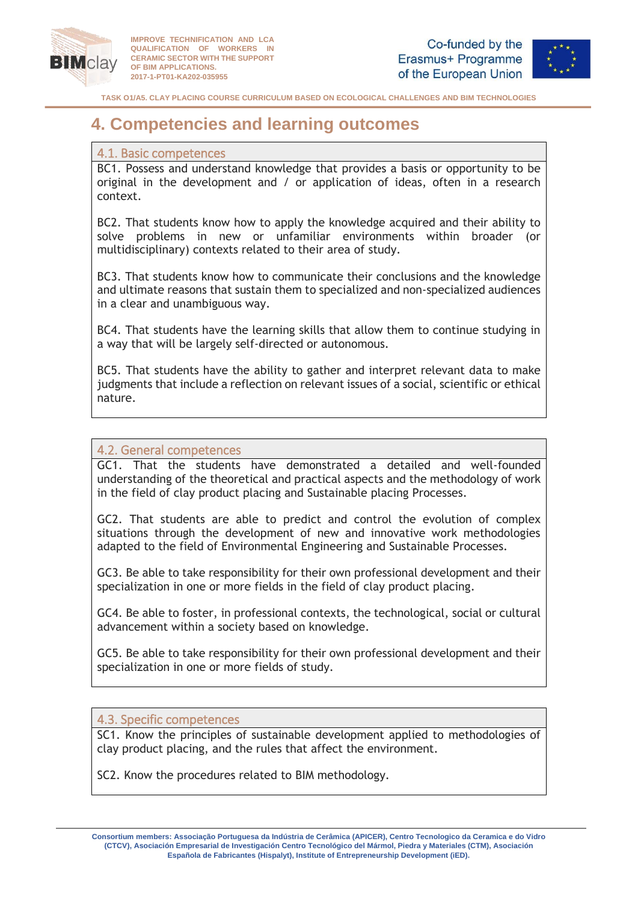



**TASK O1/A5. CLAY PLACING COURSE CURRICULUM BASED ON ECOLOGICAL CHALLENGES AND BIM TECHNOLOGIES**

# <span id="page-7-0"></span>**4. Competencies and learning outcomes**

#### <span id="page-7-1"></span>4.1. Basic competences

BC1. Possess and understand knowledge that provides a basis or opportunity to be original in the development and / or application of ideas, often in a research context.

BC2. That students know how to apply the knowledge acquired and their ability to solve problems in new or unfamiliar environments within broader (or multidisciplinary) contexts related to their area of study.

BC3. That students know how to communicate their conclusions and the knowledge and ultimate reasons that sustain them to specialized and non-specialized audiences in a clear and unambiguous way.

BC4. That students have the learning skills that allow them to continue studying in a way that will be largely self-directed or autonomous.

BC5. That students have the ability to gather and interpret relevant data to make judgments that include a reflection on relevant issues of a social, scientific or ethical nature.

## <span id="page-7-2"></span>4.2. General competences

GC1. That the students have demonstrated a detailed and well-founded understanding of the theoretical and practical aspects and the methodology of work in the field of clay product placing and Sustainable placing Processes.

GC2. That students are able to predict and control the evolution of complex situations through the development of new and innovative work methodologies adapted to the field of Environmental Engineering and Sustainable Processes.

GC3. Be able to take responsibility for their own professional development and their specialization in one or more fields in the field of clay product placing.

GC4. Be able to foster, in professional contexts, the technological, social or cultural advancement within a society based on knowledge.

GC5. Be able to take responsibility for their own professional development and their specialization in one or more fields of study.

## <span id="page-7-3"></span>4.3. Specific competences

SC1. Know the principles of sustainable development applied to methodologies of clay product placing, and the rules that affect the environment.

SC2. Know the procedures related to BIM methodology.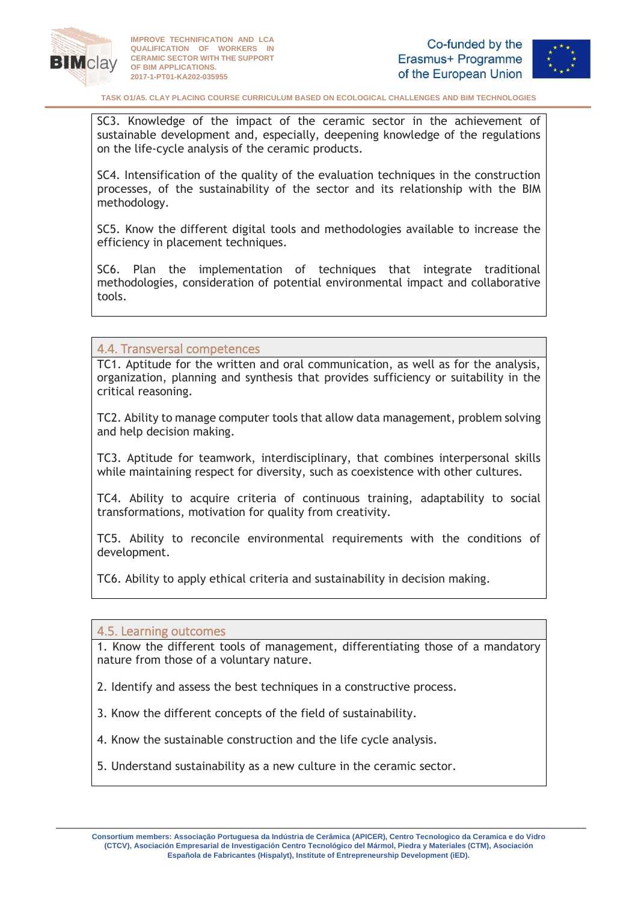



SC3. Knowledge of the impact of the ceramic sector in the achievement of sustainable development and, especially, deepening knowledge of the regulations on the life-cycle analysis of the ceramic products.

SC4. Intensification of the quality of the evaluation techniques in the construction processes, of the sustainability of the sector and its relationship with the BIM methodology.

SC5. Know the different digital tools and methodologies available to increase the efficiency in placement techniques.

SC6. Plan the implementation of techniques that integrate traditional methodologies, consideration of potential environmental impact and collaborative tools.

#### <span id="page-8-0"></span>4.4. Transversal competences

TC1. Aptitude for the written and oral communication, as well as for the analysis, organization, planning and synthesis that provides sufficiency or suitability in the critical reasoning.

TC2. Ability to manage computer tools that allow data management, problem solving and help decision making.

TC3. Aptitude for teamwork, interdisciplinary, that combines interpersonal skills while maintaining respect for diversity, such as coexistence with other cultures.

TC4. Ability to acquire criteria of continuous training, adaptability to social transformations, motivation for quality from creativity.

TC5. Ability to reconcile environmental requirements with the conditions of development.

TC6. Ability to apply ethical criteria and sustainability in decision making.

<span id="page-8-1"></span>4.5. Learning outcomes

1. Know the different tools of management, differentiating those of a mandatory nature from those of a voluntary nature.

2. Identify and assess the best techniques in a constructive process.

3. Know the different concepts of the field of sustainability.

4. Know the sustainable construction and the life cycle analysis.

5. Understand sustainability as a new culture in the ceramic sector.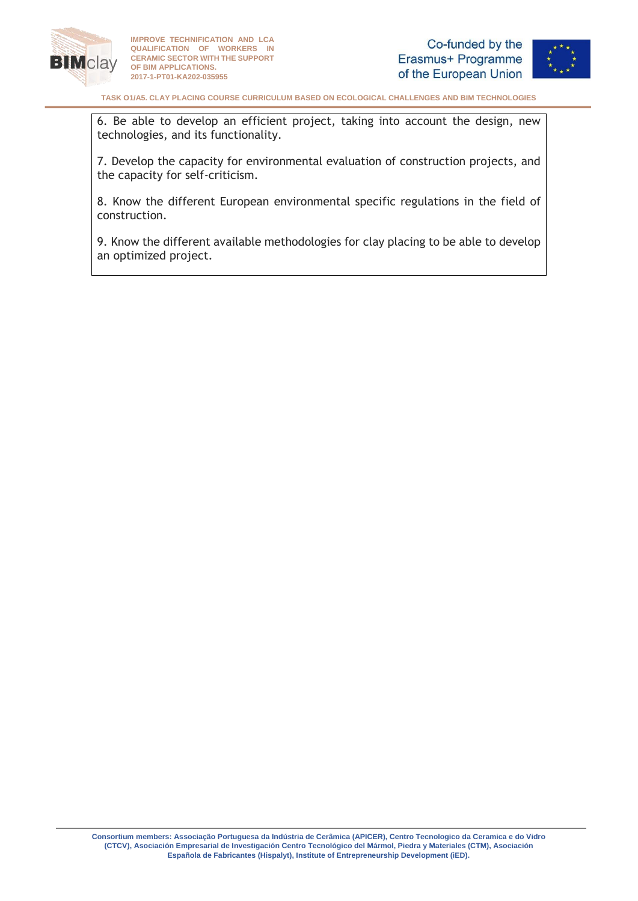



**TASK O1/A5. CLAY PLACING COURSE CURRICULUM BASED ON ECOLOGICAL CHALLENGES AND BIM TECHNOLOGIES**

6. Be able to develop an efficient project, taking into account the design, new technologies, and its functionality.

7. Develop the capacity for environmental evaluation of construction projects, and the capacity for self-criticism.

8. Know the different European environmental specific regulations in the field of construction.

9. Know the different available methodologies for clay placing to be able to develop an optimized project.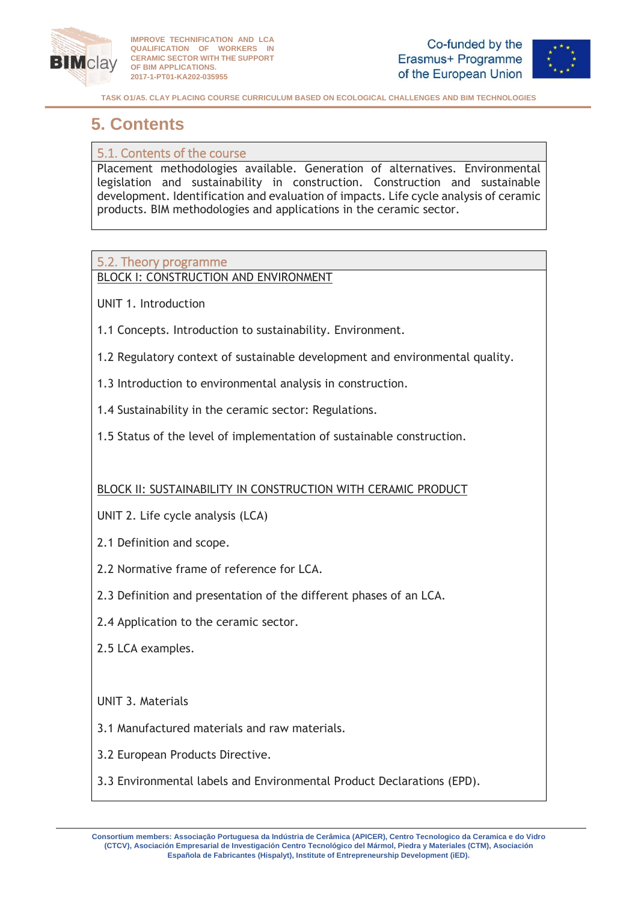



# <span id="page-10-0"></span>**5. Contents**

# <span id="page-10-1"></span>5.1. Contents of the course

Placement methodologies available. Generation of alternatives. Environmental legislation and sustainability in construction. Construction and sustainable development. Identification and evaluation of impacts. Life cycle analysis of ceramic products. BIM methodologies and applications in the ceramic sector.

# <span id="page-10-2"></span>5.2. Theory programme

BLOCK I: CONSTRUCTION AND ENVIRONMENT

- UNIT 1. Introduction
- 1.1 Concepts. Introduction to sustainability. Environment.
- 1.2 Regulatory context of sustainable development and environmental quality.
- 1.3 Introduction to environmental analysis in construction.
- 1.4 Sustainability in the ceramic sector: Regulations.
- 1.5 Status of the level of implementation of sustainable construction.

# BLOCK II: SUSTAINABILITY IN CONSTRUCTION WITH CERAMIC PRODUCT

- UNIT 2. Life cycle analysis (LCA)
- 2.1 Definition and scope.
- 2.2 Normative frame of reference for LCA.
- 2.3 Definition and presentation of the different phases of an LCA.
- 2.4 Application to the ceramic sector.
- 2.5 LCA examples.

# UNIT 3. Materials

- 3.1 Manufactured materials and raw materials.
- 3.2 European Products Directive.
- 3.3 Environmental labels and Environmental Product Declarations (EPD).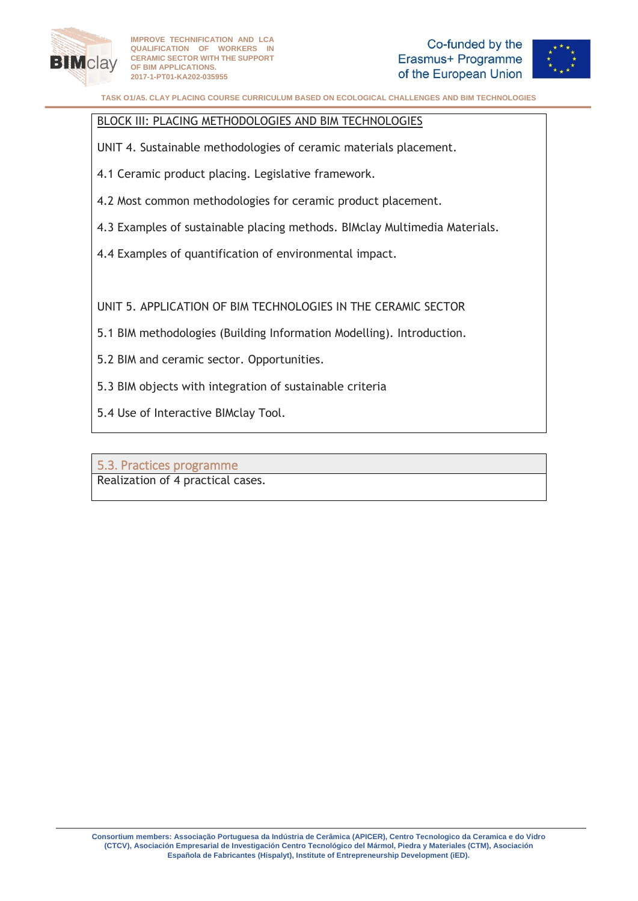



#### BLOCK III: PLACING METHODOLOGIES AND BIM TECHNOLOGIES

UNIT 4. Sustainable methodologies of ceramic materials placement.

4.1 Ceramic product placing. Legislative framework.

- 4.2 Most common methodologies for ceramic product placement.
- 4.3 Examples of sustainable placing methods. BIMclay Multimedia Materials.
- 4.4 Examples of quantification of environmental impact.

UNIT 5. APPLICATION OF BIM TECHNOLOGIES IN THE CERAMIC SECTOR

- 5.1 BIM methodologies (Building Information Modelling). Introduction.
- 5.2 BIM and ceramic sector. Opportunities.
- 5.3 BIM objects with integration of sustainable criteria
- 5.4 Use of Interactive BIMclay Tool.

<span id="page-11-0"></span>5.3. Practices programme Realization of 4 practical cases.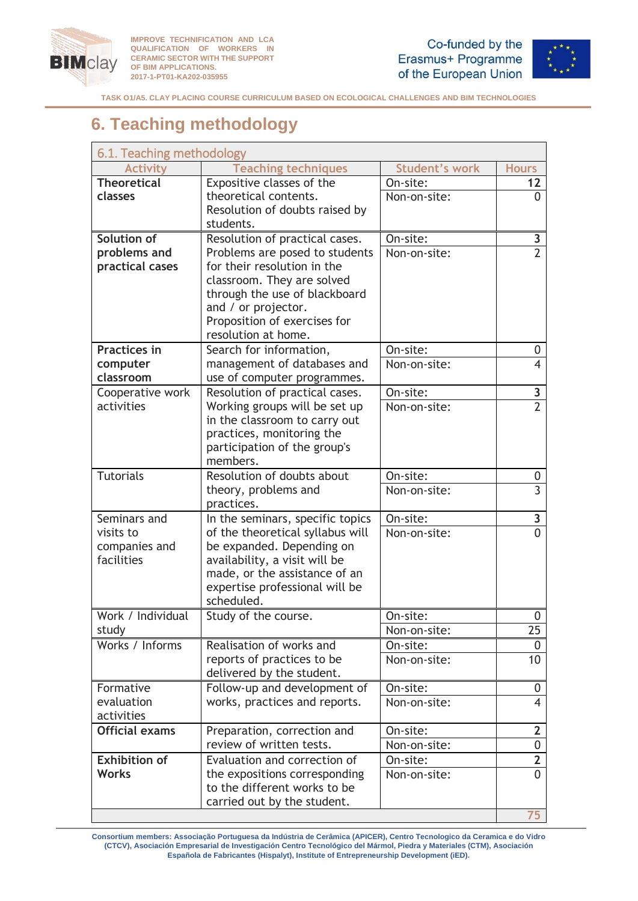



**TASK O1/A5. CLAY PLACING COURSE CURRICULUM BASED ON ECOLOGICAL CHALLENGES AND BIM TECHNOLOGIES**

# <span id="page-12-0"></span>**6. Teaching methodology**

<span id="page-12-1"></span>

| 6.1. Teaching methodology           |                                                                  |                          |                                |  |
|-------------------------------------|------------------------------------------------------------------|--------------------------|--------------------------------|--|
| <b>Activity</b>                     | <b>Teaching techniques</b>                                       | <b>Student's work</b>    | <b>Hours</b>                   |  |
| <b>Theoretical</b>                  | Expositive classes of the                                        | On-site:                 | 12                             |  |
| classes                             | theoretical contents.                                            | Non-on-site:             | 0                              |  |
|                                     | Resolution of doubts raised by                                   |                          |                                |  |
|                                     | students.                                                        |                          |                                |  |
| Solution of<br>problems and         | Resolution of practical cases.<br>Problems are posed to students | On-site:<br>Non-on-site: | 3<br>$\overline{2}$            |  |
| practical cases                     | for their resolution in the                                      |                          |                                |  |
|                                     | classroom. They are solved                                       |                          |                                |  |
|                                     | through the use of blackboard                                    |                          |                                |  |
|                                     | and / or projector.                                              |                          |                                |  |
|                                     | Proposition of exercises for                                     |                          |                                |  |
|                                     | resolution at home.                                              |                          |                                |  |
| <b>Practices in</b>                 | Search for information,                                          | On-site:                 | 0                              |  |
| computer                            | management of databases and                                      | Non-on-site:             | $\overline{4}$                 |  |
| classroom                           | use of computer programmes.                                      |                          |                                |  |
| Cooperative work<br>activities      | Resolution of practical cases.                                   | On-site:                 | 3<br>$\overline{2}$            |  |
|                                     | Working groups will be set up<br>in the classroom to carry out   | Non-on-site:             |                                |  |
|                                     | practices, monitoring the                                        |                          |                                |  |
|                                     | participation of the group's                                     |                          |                                |  |
|                                     | members.                                                         |                          |                                |  |
| <b>Tutorials</b>                    | Resolution of doubts about                                       | On-site:                 | 0                              |  |
|                                     | theory, problems and                                             | Non-on-site:             | $\overline{3}$                 |  |
|                                     | practices.                                                       |                          |                                |  |
| Seminars and                        | In the seminars, specific topics                                 | On-site:                 | 3                              |  |
| visits to                           | of the theoretical syllabus will                                 | Non-on-site:             |                                |  |
| companies and<br>facilities         | be expanded. Depending on<br>availability, a visit will be       |                          |                                |  |
|                                     | made, or the assistance of an                                    |                          |                                |  |
|                                     | expertise professional will be                                   |                          |                                |  |
|                                     | scheduled.                                                       |                          |                                |  |
| Work / Individual                   | Study of the course.                                             | On-site:                 | 0                              |  |
| study                               |                                                                  | Non-on-site:             | 25                             |  |
| Works / Informs                     | Realisation of works and                                         | On-site:                 | 0                              |  |
|                                     | reports of practices to be                                       | Non-on-site:             | 10                             |  |
|                                     | delivered by the student.                                        |                          |                                |  |
| Formative                           | Follow-up and development of                                     | On-site:                 | 0                              |  |
| evaluation                          | works, practices and reports.                                    | Non-on-site:             | $\overline{\mathcal{A}}$       |  |
| activities<br><b>Official exams</b> |                                                                  |                          |                                |  |
|                                     | Preparation, correction and<br>review of written tests.          | On-site:<br>Non-on-site: | $\mathbf{2}$<br>$\overline{0}$ |  |
| <b>Exhibition of</b>                | Evaluation and correction of                                     | On-site:                 | $\mathbf{2}$                   |  |
| <b>Works</b>                        | the expositions corresponding                                    | Non-on-site:             | $\Omega$                       |  |
|                                     | to the different works to be                                     |                          |                                |  |
|                                     | carried out by the student.                                      |                          |                                |  |
|                                     |                                                                  |                          | 75                             |  |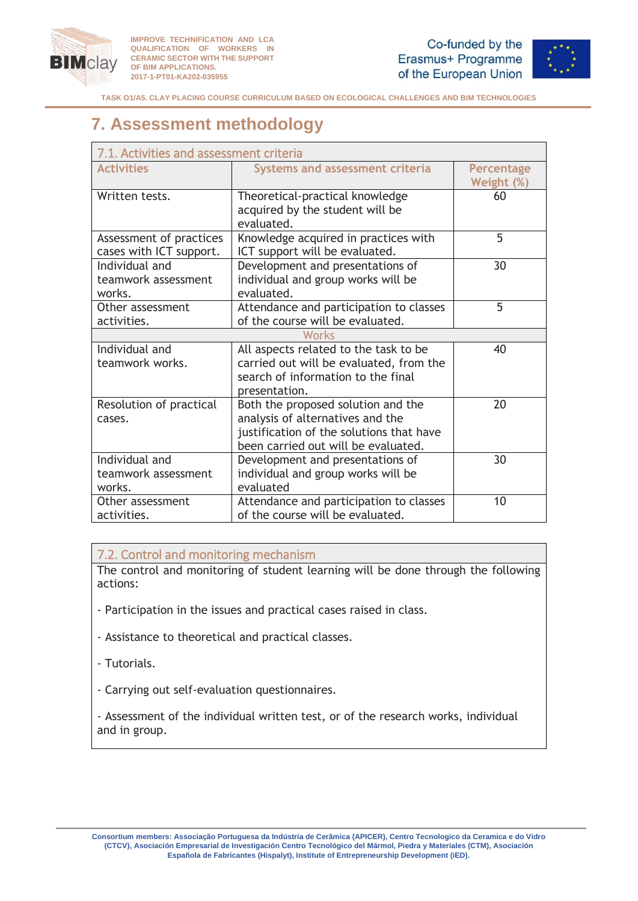



# <span id="page-13-0"></span>**7. Assessment methodology**

<span id="page-13-1"></span>

| 7.1. Activities and assessment criteria            |                                                                                                                                                           |                                 |  |  |  |
|----------------------------------------------------|-----------------------------------------------------------------------------------------------------------------------------------------------------------|---------------------------------|--|--|--|
| <b>Activities</b>                                  | <b>Systems and assessment criteria</b>                                                                                                                    | <b>Percentage</b><br>Weight (%) |  |  |  |
| Written tests.                                     | Theoretical-practical knowledge<br>acquired by the student will be<br>evaluated.                                                                          | 60                              |  |  |  |
| Assessment of practices<br>cases with ICT support. | Knowledge acquired in practices with<br>ICT support will be evaluated.                                                                                    | 5                               |  |  |  |
| Individual and<br>teamwork assessment<br>works.    | Development and presentations of<br>individual and group works will be<br>evaluated.                                                                      | 30                              |  |  |  |
| Other assessment<br>activities.                    | Attendance and participation to classes<br>of the course will be evaluated.                                                                               | 5                               |  |  |  |
| <b>Works</b>                                       |                                                                                                                                                           |                                 |  |  |  |
| Individual and<br>teamwork works.                  | All aspects related to the task to be<br>carried out will be evaluated, from the<br>search of information to the final<br>presentation.                   | 40                              |  |  |  |
| Resolution of practical<br>cases.                  | Both the proposed solution and the<br>analysis of alternatives and the<br>justification of the solutions that have<br>been carried out will be evaluated. | 20                              |  |  |  |
| Individual and<br>teamwork assessment<br>works.    | Development and presentations of<br>individual and group works will be<br>evaluated                                                                       | 30                              |  |  |  |
| Other assessment<br>activities.                    | Attendance and participation to classes<br>of the course will be evaluated.                                                                               | 10                              |  |  |  |

## <span id="page-13-2"></span>7.2. Control and monitoring mechanism

The control and monitoring of student learning will be done through the following actions:

- Participation in the issues and practical cases raised in class.
- Assistance to theoretical and practical classes.
- Tutorials.
- Carrying out self-evaluation questionnaires.

- Assessment of the individual written test, or of the research works, individual and in group.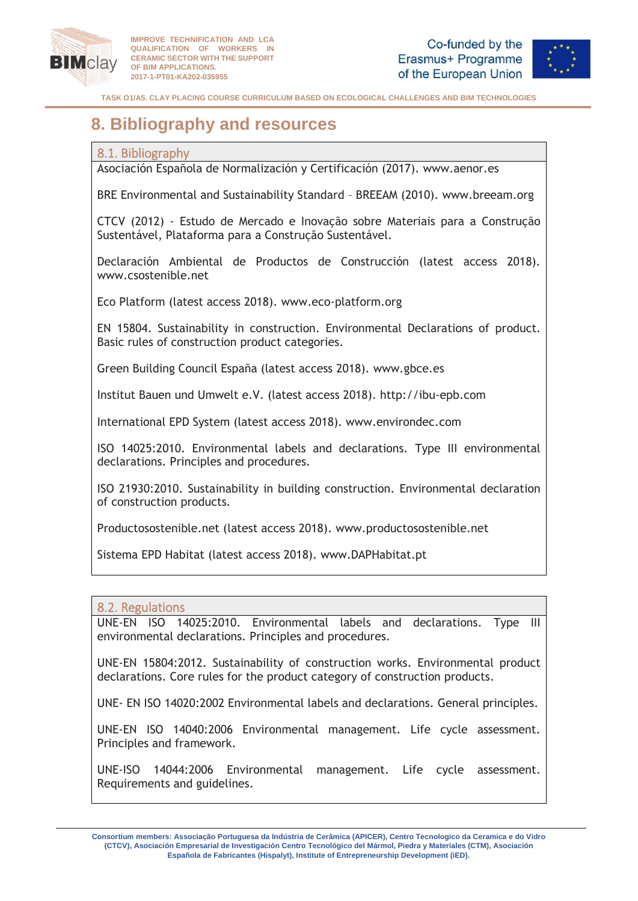



**TASK O1/A5. CLAY PLACING COURSE CURRICULUM BASED ON ECOLOGICAL CHALLENGES AND BIM TECHNOLOGIES**

# <span id="page-14-0"></span>**8. Bibliography and resources**

## <span id="page-14-1"></span>8.1. Bibliography

Asociación Española de Normalización y Certificación (2017). www.aenor.es

BRE Environmental and Sustainability Standard – BREEAM (2010). www.breeam.org

CTCV (2012) - Estudo de Mercado e Inovação sobre Materiais para a Construção Sustentável, Plataforma para a Construção Sustentável.

Declaración Ambiental de Productos de Construcción (latest access 2018). www.csostenible.net

Eco Platform (latest access 2018). www.eco-platform.org

EN 15804. Sustainability in construction. Environmental Declarations of product. Basic rules of construction product categories.

Green Building Council España (latest access 2018). www.gbce.es

Institut Bauen und Umwelt e.V. (latest access 2018). http://ibu-epb.com

International EPD System (latest access 2018). www.environdec.com

ISO 14025:2010. Environmental labels and declarations. Type III environmental declarations. Principles and procedures.

ISO 21930:2010. Sustainability in building construction. Environmental declaration of construction products.

Productosostenible.net (latest access 2018). www.productosostenible.net

Sistema EPD Habitat (latest access 2018). www.DAPHabitat.pt

#### <span id="page-14-2"></span>8.2. Regulations

UNE-EN ISO 14025:2010. Environmental labels and declarations. Type III environmental declarations. Principles and procedures.

UNE-EN 15804:2012. Sustainability of construction works. Environmental product declarations. Core rules for the product category of construction products.

UNE- EN ISO 14020:2002 Environmental labels and declarations. General principles.

UNE-EN ISO 14040:2006 Environmental management. Life cycle assessment. Principles and framework.

UNE-ISO 14044:2006 Environmental management. Life cycle assessment. Requirements and guidelines.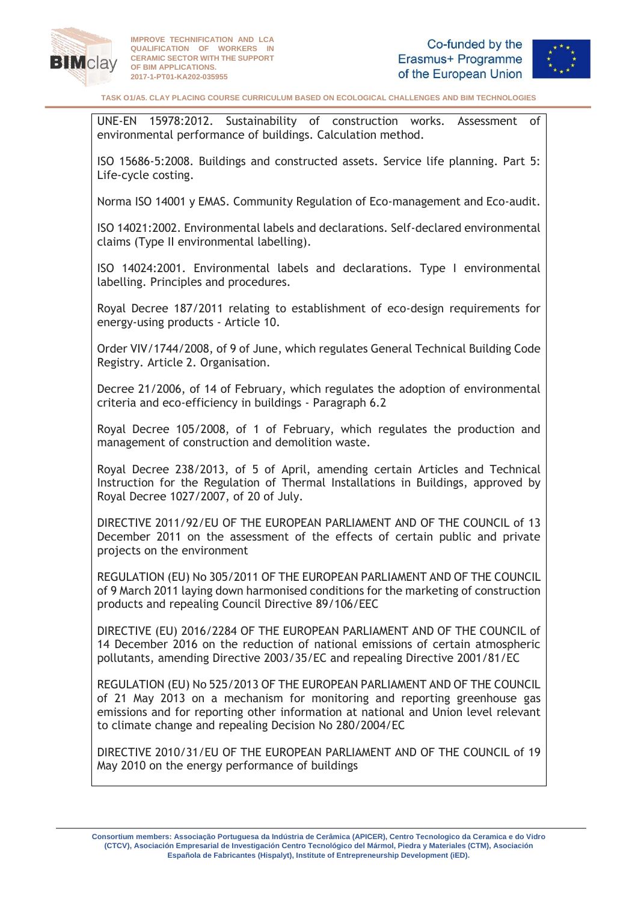



UNE-EN 15978:2012. Sustainability of construction works. Assessment of environmental performance of buildings. Calculation method.

ISO 15686-5:2008. Buildings and constructed assets. Service life planning. Part 5: Life-cycle costing.

Norma ISO 14001 y EMAS. Community Regulation of Eco-management and Eco-audit.

ISO 14021:2002. Environmental labels and declarations. Self-declared environmental claims (Type II environmental labelling).

ISO 14024:2001. Environmental labels and declarations. Type I environmental labelling. Principles and procedures.

Royal Decree 187/2011 relating to establishment of eco-design requirements for energy-using products - Article 10.

Order VIV/1744/2008, of 9 of June, which regulates General Technical Building Code Registry. Article 2. Organisation.

Decree 21/2006, of 14 of February, which regulates the adoption of environmental criteria and eco-efficiency in buildings - Paragraph 6.2

Royal Decree 105/2008, of 1 of February, which regulates the production and management of construction and demolition waste.

Royal Decree 238/2013, of 5 of April, amending certain Articles and Technical Instruction for the Regulation of Thermal Installations in Buildings, approved by Royal Decree 1027/2007, of 20 of July.

[DIRECTIVE 2011/92/EU OF THE EUROPEAN PARLIAMENT AND OF THE COUNCIL of 13](http://eur-lex.europa.eu/legal-content/EN/TXT/HTML/?uri=CELEX:32011L0092&qid=1484586482117&from=ES)  [December 2011 on the assessment of the effects of certain public and private](http://eur-lex.europa.eu/legal-content/EN/TXT/HTML/?uri=CELEX:32011L0092&qid=1484586482117&from=ES)  [projects on the environment](http://eur-lex.europa.eu/legal-content/EN/TXT/HTML/?uri=CELEX:32011L0092&qid=1484586482117&from=ES)

[REGULATION \(EU\) No 305/2011 OF THE EUROPEAN PARLIAMENT AND OF THE COUNCIL](http://eur-lex.europa.eu/legal-content/EN/TXT/HTML/?uri=CELEX:32011R0305&qid=1484586810666&from=ES)  [of 9 March 2011 laying down harmonised conditions for the marketing of construction](http://eur-lex.europa.eu/legal-content/EN/TXT/HTML/?uri=CELEX:32011R0305&qid=1484586810666&from=ES)  [products and repealing Council Directive 89/106/EEC](http://eur-lex.europa.eu/legal-content/EN/TXT/HTML/?uri=CELEX:32011R0305&qid=1484586810666&from=ES)

[DIRECTIVE \(EU\) 2016/2284 OF THE EUROPEAN PARLIAMENT AND OF THE COUNCIL of](http://eur-lex.europa.eu/legal-content/EN/TXT/HTML/?uri=CELEX:32016L2284&qid=1484587184115&from=ES)  [14 December 2016 on the reduction of national emissions of certain atmospheric](http://eur-lex.europa.eu/legal-content/EN/TXT/HTML/?uri=CELEX:32016L2284&qid=1484587184115&from=ES)  [pollutants, amending Directive 2003/35/EC and repealing Directive 2001/81/EC](http://eur-lex.europa.eu/legal-content/EN/TXT/HTML/?uri=CELEX:32016L2284&qid=1484587184115&from=ES)

[REGULATION \(EU\) No 525/2013 OF THE EUROPEAN PARLIAMENT AND OF THE COUNCIL](http://eur-lex.europa.eu/legal-content/EN/TXT/HTML/?uri=CELEX:32013R0525&qid=1484586810666&from=ES)  [of 21 May 2013 on a mechanism for monitoring and reporting greenhouse](http://eur-lex.europa.eu/legal-content/EN/TXT/HTML/?uri=CELEX:32013R0525&qid=1484586810666&from=ES) gas [emissions and for reporting other information at national and Union level relevant](http://eur-lex.europa.eu/legal-content/EN/TXT/HTML/?uri=CELEX:32013R0525&qid=1484586810666&from=ES)  [to climate change and repealing Decision No 280/2004/EC](http://eur-lex.europa.eu/legal-content/EN/TXT/HTML/?uri=CELEX:32013R0525&qid=1484586810666&from=ES)

[DIRECTIVE 2010/31/EU OF THE EUROPEAN PARLIAMENT AND OF THE COUNCIL of 19](http://eur-lex.europa.eu/legal-content/EN/TXT/HTML/?uri=CELEX:32010L0031&from=ES)  [May 2010 on the energy performance of buildings](http://eur-lex.europa.eu/legal-content/EN/TXT/HTML/?uri=CELEX:32010L0031&from=ES)